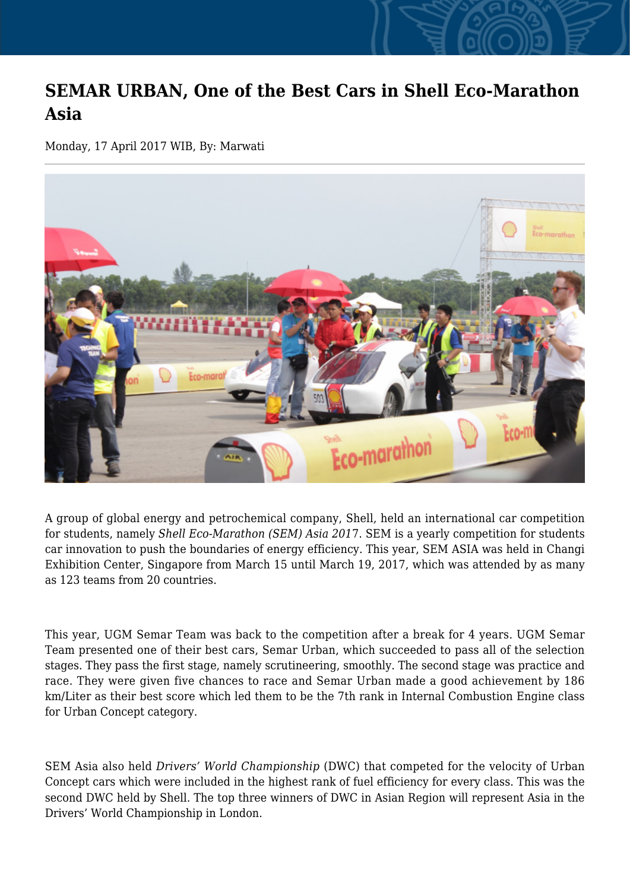## **SEMAR URBAN, One of the Best Cars in Shell Eco-Marathon Asia**

Monday, 17 April 2017 WIB, By: Marwati



A group of global energy and petrochemical company, Shell, held an international car competition for students, namely *Shell Eco-Marathon (SEM) Asia 201*7. SEM is a yearly competition for students car innovation to push the boundaries of energy efficiency. This year, SEM ASIA was held in Changi Exhibition Center, Singapore from March 15 until March 19, 2017, which was attended by as many as 123 teams from 20 countries.

This year, UGM Semar Team was back to the competition after a break for 4 years. UGM Semar Team presented one of their best cars, Semar Urban, which succeeded to pass all of the selection stages. They pass the first stage, namely scrutineering, smoothly. The second stage was practice and race. They were given five chances to race and Semar Urban made a good achievement by 186 km/Liter as their best score which led them to be the 7th rank in Internal Combustion Engine class for Urban Concept category.

SEM Asia also held *Drivers' World Championship* (DWC) that competed for the velocity of Urban Concept cars which were included in the highest rank of fuel efficiency for every class. This was the second DWC held by Shell. The top three winners of DWC in Asian Region will represent Asia in the Drivers' World Championship in London.